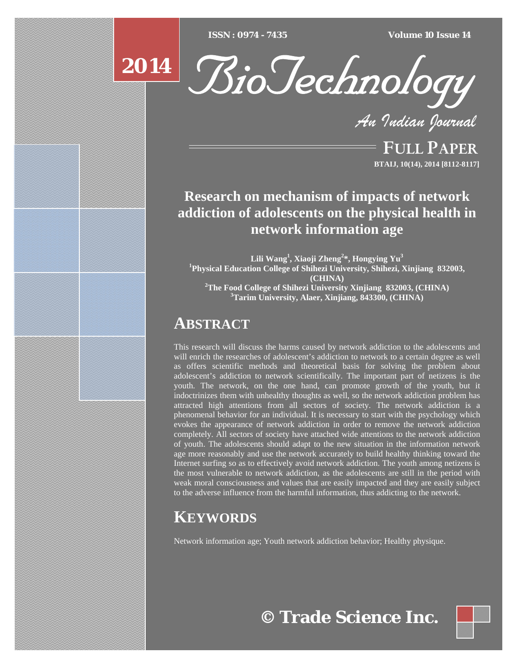$ISSN : 0974 - 7435$ 

*ISSN : 0974 - 7435 Volume 10 Issue 14*

**2014** R:



*An Indian Journal*

FULL PAPER **BTAIJ, 10(14), 2014 [8112-8117]**

## **Research on mechanism of impacts of network addiction of adolescents on the physical health in network information age**

**Lili Wang<sup>1</sup> , Xiaoji Zheng<sup>2</sup> \*, Hongying Yu<sup>3</sup> 1 Physical Education College of Shihezi University, Shihezi, Xinjiang 832003, (CHINA) 2 The Food College of Shihezi University Xinjiang 832003, (CHINA) 3 Tarim University, Alaer, Xinjiang, 843300, (CHINA)** 

## **ABSTRACT**

This research will discuss the harms caused by network addiction to the adolescents and will enrich the researches of adolescent's addiction to network to a certain degree as well as offers scientific methods and theoretical basis for solving the problem about adolescent's addiction to network scientifically. The important part of netizens is the youth. The network, on the one hand, can promote growth of the youth, but it indoctrinizes them with unhealthy thoughts as well, so the network addiction problem has attracted high attentions from all sectors of society. The network addiction is a phenomenal behavior for an individual. It is necessary to start with the psychology which evokes the appearance of network addiction in order to remove the network addiction completely. All sectors of society have attached wide attentions to the network addiction of youth. The adolescents should adapt to the new situation in the information network age more reasonably and use the network accurately to build healthy thinking toward the Internet surfing so as to effectively avoid network addiction. The youth among netizens is the most vulnerable to network addiction, as the adolescents are still in the period with weak moral consciousness and values that are easily impacted and they are easily subject to the adverse influence from the harmful information, thus addicting to the network.

# **KEYWORDS**

Network information age; Youth network addiction behavior; Healthy physique.

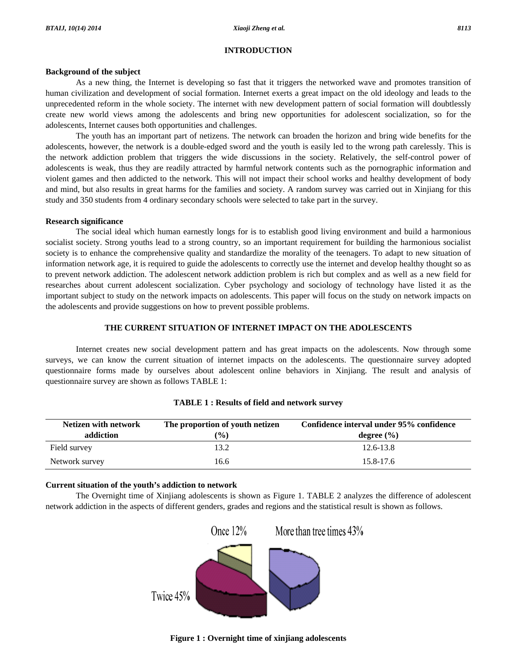#### **INTRODUCTION**

#### **Background of the subject**

 As a new thing, the Internet is developing so fast that it triggers the networked wave and promotes transition of human civilization and development of social formation. Internet exerts a great impact on the old ideology and leads to the unprecedented reform in the whole society. The internet with new development pattern of social formation will doubtlessly create new world views among the adolescents and bring new opportunities for adolescent socialization, so for the adolescents, Internet causes both opportunities and challenges.

 The youth has an important part of netizens. The network can broaden the horizon and bring wide benefits for the adolescents, however, the network is a double-edged sword and the youth is easily led to the wrong path carelessly. This is the network addiction problem that triggers the wide discussions in the society. Relatively, the self-control power of adolescents is weak, thus they are readily attracted by harmful network contents such as the pornographic information and violent games and then addicted to the network. This will not impact their school works and healthy development of body and mind, but also results in great harms for the families and society. A random survey was carried out in Xinjiang for this study and 350 students from 4 ordinary secondary schools were selected to take part in the survey.

#### **Research significance**

 The social ideal which human earnestly longs for is to establish good living environment and build a harmonious socialist society. Strong youths lead to a strong country, so an important requirement for building the harmonious socialist society is to enhance the comprehensive quality and standardize the morality of the teenagers. To adapt to new situation of information network age, it is required to guide the adolescents to correctly use the internet and develop healthy thought so as to prevent network addiction. The adolescent network addiction problem is rich but complex and as well as a new field for researches about current adolescent socialization. Cyber psychology and sociology of technology have listed it as the important subject to study on the network impacts on adolescents. This paper will focus on the study on network impacts on the adolescents and provide suggestions on how to prevent possible problems.

#### **THE CURRENT SITUATION OF INTERNET IMPACT ON THE ADOLESCENTS**

 Internet creates new social development pattern and has great impacts on the adolescents. Now through some surveys, we can know the current situation of internet impacts on the adolescents. The questionnaire survey adopted questionnaire forms made by ourselves about adolescent online behaviors in Xinjiang. The result and analysis of questionnaire survey are shown as follows TABLE 1:

| Netizen with network<br>addiction | The proportion of youth netizen<br>$($ %) | Confidence interval under 95% confidence<br>degree $(\% )$ |  |  |  |
|-----------------------------------|-------------------------------------------|------------------------------------------------------------|--|--|--|
| Field survey                      | 13.2                                      | $12.6 - 13.8$                                              |  |  |  |
| Network survey                    | 16.6                                      | 15.8-17.6                                                  |  |  |  |

#### **TABLE 1 : Results of field and network survey**

#### **Current situation of the youth's addiction to network**

 The Overnight time of Xinjiang adolescents is shown as Figure 1. TABLE 2 analyzes the difference of adolescent network addiction in the aspects of different genders, grades and regions and the statistical result is shown as follows.



**Figure 1 : Overnight time of xinjiang adolescents**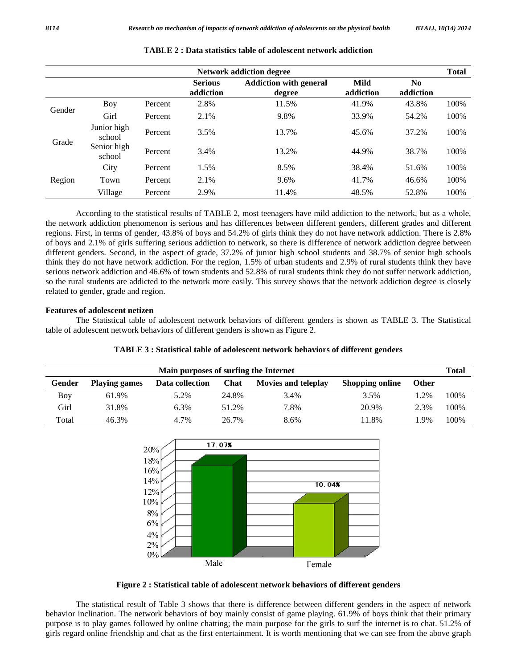| <b>Network addiction degree</b> |                       |         |                             |                                         | <b>Total</b>      |                             |      |
|---------------------------------|-----------------------|---------|-----------------------------|-----------------------------------------|-------------------|-----------------------------|------|
|                                 |                       |         | <b>Serious</b><br>addiction | <b>Addiction with general</b><br>degree | Mild<br>addiction | N <sub>0</sub><br>addiction |      |
| Gender                          | Boy                   | Percent | 2.8%                        | 11.5%                                   | 41.9%             | 43.8%                       | 100% |
|                                 | Girl                  | Percent | 2.1%                        | 9.8%                                    | 33.9%             | 54.2%                       | 100% |
| Grade                           | Junior high<br>school | Percent | 3.5%                        | 13.7%                                   | 45.6%             | 37.2%                       | 100% |
|                                 | Senior high<br>school | Percent | 3.4%                        | 13.2%                                   | 44.9%             | 38.7%                       | 100% |
| Region                          | City                  | Percent | 1.5%                        | 8.5%                                    | 38.4%             | 51.6%                       | 100% |
|                                 | Town                  | Percent | 2.1%                        | 9.6%                                    | 41.7%             | 46.6%                       | 100% |
|                                 | Village               | Percent | 2.9%                        | 11.4%                                   | 48.5%             | 52.8%                       | 100% |

|  |  |  | <b>TABLE 2: Data statistics table of adolescent network addiction</b> |
|--|--|--|-----------------------------------------------------------------------|
|--|--|--|-----------------------------------------------------------------------|

 According to the statistical results of TABLE 2, most teenagers have mild addiction to the network, but as a whole, the network addiction phenomenon is serious and has differences between different genders, different grades and different regions. First, in terms of gender, 43.8% of boys and 54.2% of girls think they do not have network addiction. There is 2.8% of boys and 2.1% of girls suffering serious addiction to network, so there is difference of network addiction degree between different genders. Second, in the aspect of grade, 37.2% of junior high school students and 38.7% of senior high schools think they do not have network addiction. For the region, 1.5% of urban students and 2.9% of rural students think they have serious network addiction and 46.6% of town students and 52.8% of rural students think they do not suffer network addiction, so the rural students are addicted to the network more easily. This survey shows that the network addiction degree is closely related to gender, grade and region.

## **Features of adolescent netizen**

 The Statistical table of adolescent network behaviors of different genders is shown as TABLE 3. The Statistical table of adolescent network behaviors of different genders is shown as Figure 2.

| Main purposes of surfing the Internet |                      |                 |       |                            |                        | Total        |      |
|---------------------------------------|----------------------|-----------------|-------|----------------------------|------------------------|--------------|------|
| Gender                                | <b>Playing games</b> | Data collection | Chat  | <b>Movies and teleplay</b> | <b>Shopping online</b> | <b>Other</b> |      |
| Boy                                   | 61.9%                | 5.2%            | 24.8% | 3.4%                       | 3.5%                   | $1.2\%$      | 100% |
| Girl                                  | 31.8%                | 6.3%            | 51.2% | 7.8%                       | 20.9%                  | 2.3%         | 100% |
| Total                                 | 46.3%                | 4.7%            | 26.7% | 8.6%                       | 11.8%                  | $.9\%$       | 100% |



**Figure 2 : Statistical table of adolescent network behaviors of different genders** 

 The statistical result of Table 3 shows that there is difference between different genders in the aspect of network behavior inclination. The network behaviors of boy mainly consist of game playing. 61.9% of boys think that their primary purpose is to play games followed by online chatting; the main purpose for the girls to surf the internet is to chat. 51.2% of girls regard online friendship and chat as the first entertainment. It is worth mentioning that we can see from the above graph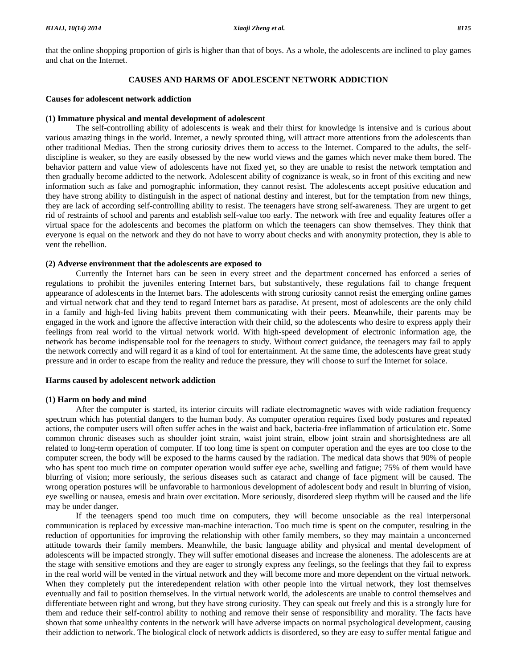that the online shopping proportion of girls is higher than that of boys. As a whole, the adolescents are inclined to play games and chat on the Internet.

## **CAUSES AND HARMS OF ADOLESCENT NETWORK ADDICTION**

#### **Causes for adolescent network addiction**

#### **(1) Immature physical and mental development of adolescent**

 The self-controlling ability of adolescents is weak and their thirst for knowledge is intensive and is curious about various amazing things in the world. Internet, a newly sprouted thing, will attract more attentions from the adolescents than other traditional Medias. Then the strong curiosity drives them to access to the Internet. Compared to the adults, the selfdiscipline is weaker, so they are easily obsessed by the new world views and the games which never make them bored. The behavior pattern and value view of adolescents have not fixed yet, so they are unable to resist the network temptation and then gradually become addicted to the network. Adolescent ability of cognizance is weak, so in front of this exciting and new information such as fake and pornographic information, they cannot resist. The adolescents accept positive education and they have strong ability to distinguish in the aspect of national destiny and interest, but for the temptation from new things, they are lack of according self-controlling ability to resist. The teenagers have strong self-awareness. They are urgent to get rid of restraints of school and parents and establish self-value too early. The network with free and equality features offer a virtual space for the adolescents and becomes the platform on which the teenagers can show themselves. They think that everyone is equal on the network and they do not have to worry about checks and with anonymity protection, they is able to vent the rebellion.

#### **(2) Adverse environment that the adolescents are exposed to**

 Currently the Internet bars can be seen in every street and the department concerned has enforced a series of regulations to prohibit the juveniles entering Internet bars, but substantively, these regulations fail to change frequent appearance of adolescents in the Internet bars. The adolescents with strong curiosity cannot resist the emerging online games and virtual network chat and they tend to regard Internet bars as paradise. At present, most of adolescents are the only child in a family and high-fed living habits prevent them communicating with their peers. Meanwhile, their parents may be engaged in the work and ignore the affective interaction with their child, so the adolescents who desire to express apply their feelings from real world to the virtual network world. With high-speed development of electronic information age, the network has become indispensable tool for the teenagers to study. Without correct guidance, the teenagers may fail to apply the network correctly and will regard it as a kind of tool for entertainment. At the same time, the adolescents have great study pressure and in order to escape from the reality and reduce the pressure, they will choose to surf the Internet for solace.

#### **Harms caused by adolescent network addiction**

#### **(1) Harm on body and mind**

 After the computer is started, its interior circuits will radiate electromagnetic waves with wide radiation frequency spectrum which has potential dangers to the human body. As computer operation requires fixed body postures and repeated actions, the computer users will often suffer aches in the waist and back, bacteria-free inflammation of articulation etc. Some common chronic diseases such as shoulder joint strain, waist joint strain, elbow joint strain and shortsightedness are all related to long-term operation of computer. If too long time is spent on computer operation and the eyes are too close to the computer screen, the body will be exposed to the harms caused by the radiation. The medical data shows that 90% of people who has spent too much time on computer operation would suffer eye ache, swelling and fatigue; 75% of them would have blurring of vision; more seriously, the serious diseases such as cataract and change of face pigment will be caused. The wrong operation postures will be unfavorable to harmonious development of adolescent body and result in blurring of vision, eye swelling or nausea, emesis and brain over excitation. More seriously, disordered sleep rhythm will be caused and the life may be under danger.

 If the teenagers spend too much time on computers, they will become unsociable as the real interpersonal communication is replaced by excessive man-machine interaction. Too much time is spent on the computer, resulting in the reduction of opportunities for improving the relationship with other family members, so they may maintain a unconcerned attitude towards their family members. Meanwhile, the basic language ability and physical and mental development of adolescents will be impacted strongly. They will suffer emotional diseases and increase the aloneness. The adolescents are at the stage with sensitive emotions and they are eager to strongly express any feelings, so the feelings that they fail to express in the real world will be vented in the virtual network and they will become more and more dependent on the virtual network. When they completely put the interedependent relation with other people into the virtual network, they lost themselves eventually and fail to position themselves. In the virtual network world, the adolescents are unable to control themselves and differentiate between right and wrong, but they have strong curiosity. They can speak out freely and this is a strongly lure for them and reduce their self-control ability to nothing and remove their sense of responsibility and morality. The facts have shown that some unhealthy contents in the network will have adverse impacts on normal psychological development, causing their addiction to network. The biological clock of network addicts is disordered, so they are easy to suffer mental fatigue and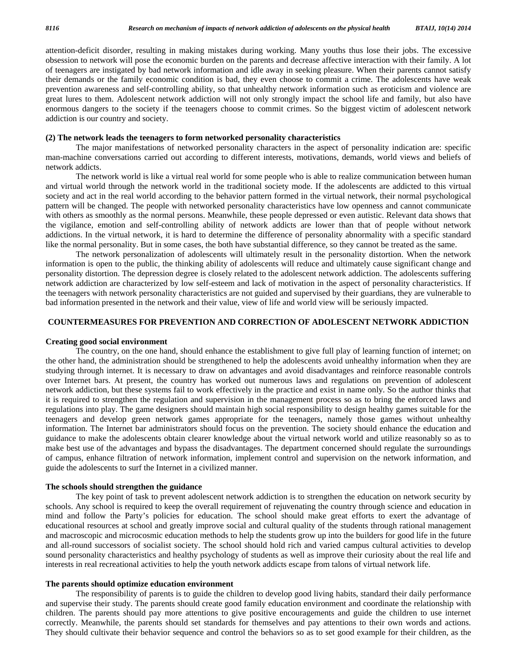attention-deficit disorder, resulting in making mistakes during working. Many youths thus lose their jobs. The excessive obsession to network will pose the economic burden on the parents and decrease affective interaction with their family. A lot of teenagers are instigated by bad network information and idle away in seeking pleasure. When their parents cannot satisfy their demands or the family economic condition is bad, they even choose to commit a crime. The adolescents have weak prevention awareness and self-controlling ability, so that unhealthy network information such as eroticism and violence are great lures to them. Adolescent network addiction will not only strongly impact the school life and family, but also have enormous dangers to the society if the teenagers choose to commit crimes. So the biggest victim of adolescent network addiction is our country and society.

#### **(2) The network leads the teenagers to form networked personality characteristics**

 The major manifestations of networked personality characters in the aspect of personality indication are: specific man-machine conversations carried out according to different interests, motivations, demands, world views and beliefs of network addicts.

 The network world is like a virtual real world for some people who is able to realize communication between human and virtual world through the network world in the traditional society mode. If the adolescents are addicted to this virtual society and act in the real world according to the behavior pattern formed in the virtual network, their normal psychological pattern will be changed. The people with networked personality characteristics have low openness and cannot communicate with others as smoothly as the normal persons. Meanwhile, these people depressed or even autistic. Relevant data shows that the vigilance, emotion and self-controlling ability of network addicts are lower than that of people without network addictions. In the virtual network, it is hard to determine the difference of personality abnormality with a specific standard like the normal personality. But in some cases, the both have substantial difference, so they cannot be treated as the same.

 The network personalization of adolescents will ultimately result in the personality distortion. When the network information is open to the public, the thinking ability of adolescents will reduce and ultimately cause significant change and personality distortion. The depression degree is closely related to the adolescent network addiction. The adolescents suffering network addiction are characterized by low self-esteem and lack of motivation in the aspect of personality characteristics. If the teenagers with network personality characteristics are not guided and supervised by their guardians, they are vulnerable to bad information presented in the network and their value, view of life and world view will be seriously impacted.

### **COUNTERMEASURES FOR PREVENTION AND CORRECTION OF ADOLESCENT NETWORK ADDICTION**

#### **Creating good social environment**

 The country, on the one hand, should enhance the establishment to give full play of learning function of internet; on the other hand, the administration should be strengthened to help the adolescents avoid unhealthy information when they are studying through internet. It is necessary to draw on advantages and avoid disadvantages and reinforce reasonable controls over Internet bars. At present, the country has worked out numerous laws and regulations on prevention of adolescent network addiction, but these systems fail to work effectively in the practice and exist in name only. So the author thinks that it is required to strengthen the regulation and supervision in the management process so as to bring the enforced laws and regulations into play. The game designers should maintain high social responsibility to design healthy games suitable for the teenagers and develop green network games appropriate for the teenagers, namely those games without unhealthy information. The Internet bar administrators should focus on the prevention. The society should enhance the education and guidance to make the adolescents obtain clearer knowledge about the virtual network world and utilize reasonably so as to make best use of the advantages and bypass the disadvantages. The department concerned should regulate the surroundings of campus, enhance filtration of network information, implement control and supervision on the network information, and guide the adolescents to surf the Internet in a civilized manner.

#### **The schools should strengthen the guidance**

 The key point of task to prevent adolescent network addiction is to strengthen the education on network security by schools. Any school is required to keep the overall requirement of rejuvenating the country through science and education in mind and follow the Party's policies for education. The school should make great efforts to exert the advantage of educational resources at school and greatly improve social and cultural quality of the students through rational management and macroscopic and microcosmic education methods to help the students grow up into the builders for good life in the future and all-round successors of socialist society. The school should hold rich and varied campus cultural activities to develop sound personality characteristics and healthy psychology of students as well as improve their curiosity about the real life and interests in real recreational activities to help the youth network addicts escape from talons of virtual network life.

#### **The parents should optimize education environment**

 The responsibility of parents is to guide the children to develop good living habits, standard their daily performance and supervise their study. The parents should create good family education environment and coordinate the relationship with children. The parents should pay more attentions to give positive encouragements and guide the children to use internet correctly. Meanwhile, the parents should set standards for themselves and pay attentions to their own words and actions. They should cultivate their behavior sequence and control the behaviors so as to set good example for their children, as the